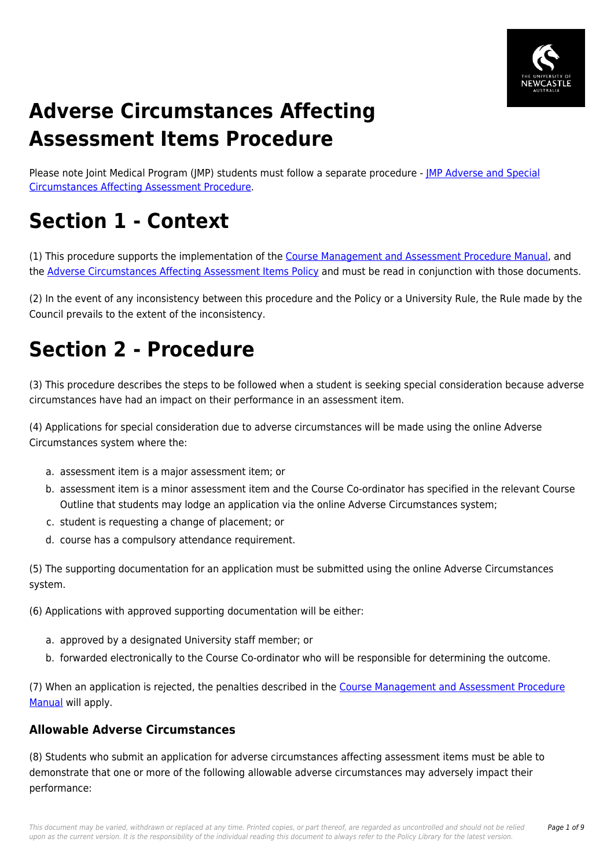

# **Adverse Circumstances Affecting Assessment Items Procedure**

Please note Joint Medical Program (JMP) students must follow a separate procedure - [JMP Adverse and Special](https://policies.newcastle.edu.au/document/view-current.php?id=287) [Circumstances Affecting Assessment Procedure.](https://policies.newcastle.edu.au/document/view-current.php?id=287)

# **Section 1 - Context**

(1) This procedure supports the implementation of the [Course Management and Assessment Procedure Manual](https://policies.newcastle.edu.au/document/view-current.php?id=183), and the [Adverse Circumstances Affecting Assessment Items Policy](https://policies.newcastle.edu.au/document/view-current.php?id=235) and must be read in conjunction with those documents.

(2) In the event of any inconsistency between this procedure and the Policy or a University Rule, the Rule made by the Council prevails to the extent of the inconsistency.

# **Section 2 - Procedure**

(3) This procedure describes the steps to be followed when a student is seeking special consideration because adverse circumstances have had an impact on their performance in an assessment item.

(4) Applications for special consideration due to adverse circumstances will be made using the online Adverse Circumstances system where the:

- a. assessment item is a major assessment item; or
- b. assessment item is a minor assessment item and the Course Co-ordinator has specified in the relevant Course Outline that students may lodge an application via the online Adverse Circumstances system;
- c. student is requesting a change of placement; or
- d. course has a compulsory attendance requirement.

(5) The supporting documentation for an application must be submitted using the online Adverse Circumstances system.

(6) Applications with approved supporting documentation will be either:

- a. approved by a designated University staff member; or
- b. forwarded electronically to the Course Co-ordinator who will be responsible for determining the outcome.

(7) When an application is rejected, the penalties described in the [Course Management and Assessment Procedure](https://policies.newcastle.edu.au/document/view-current.php?id=183) [Manual](https://policies.newcastle.edu.au/document/view-current.php?id=183) will apply.

### **Allowable Adverse Circumstances**

(8) Students who submit an application for adverse circumstances affecting assessment items must be able to demonstrate that one or more of the following allowable adverse circumstances may adversely impact their performance: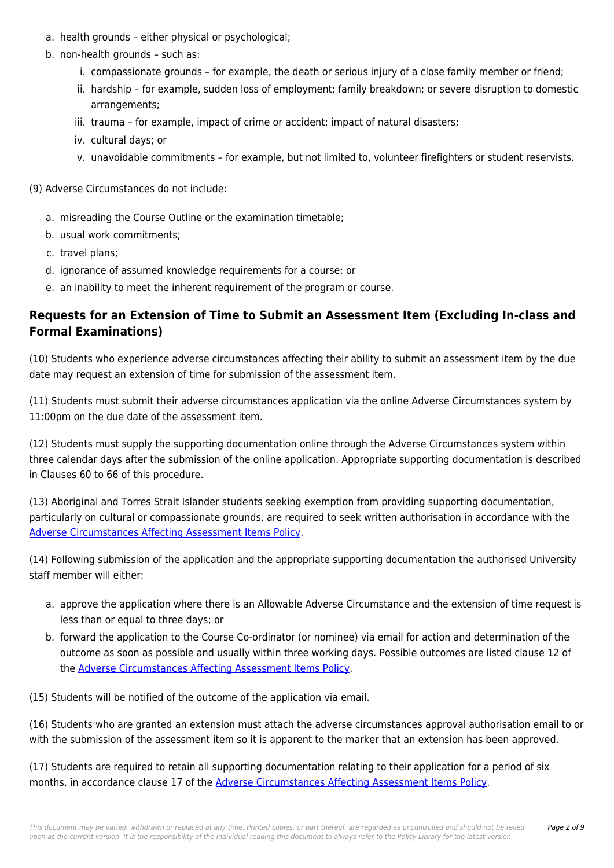- a. health grounds either physical or psychological;
- b. non-health grounds such as:
	- i. compassionate grounds for example, the death or serious injury of a close family member or friend;
	- ii. hardship for example, sudden loss of employment; family breakdown; or severe disruption to domestic arrangements;
	- iii. trauma for example, impact of crime or accident; impact of natural disasters;
	- iv. cultural days; or
	- v. unavoidable commitments for example, but not limited to, volunteer firefighters or student reservists.
- (9) Adverse Circumstances do not include:
	- a. misreading the Course Outline or the examination timetable;
	- b. usual work commitments;
	- c. travel plans;
	- d. ignorance of assumed knowledge requirements for a course; or
	- e. an inability to meet the inherent requirement of the program or course.

#### **Requests for an Extension of Time to Submit an Assessment Item (Excluding In-class and Formal Examinations)**

(10) Students who experience adverse circumstances affecting their ability to submit an assessment item by the due date may request an extension of time for submission of the assessment item.

(11) Students must submit their adverse circumstances application via the online Adverse Circumstances system by 11:00pm on the due date of the assessment item.

(12) Students must supply the supporting documentation online through the Adverse Circumstances system within three calendar days after the submission of the online application. Appropriate supporting documentation is described in Clauses 60 to 66 of this procedure.

(13) Aboriginal and Torres Strait Islander students seeking exemption from providing supporting documentation, particularly on cultural or compassionate grounds, are required to seek written authorisation in accordance with the [Adverse Circumstances Affecting Assessment Items Policy.](https://policies.newcastle.edu.au/document/view-current.php?id=235)

(14) Following submission of the application and the appropriate supporting documentation the authorised University staff member will either:

- a. approve the application where there is an Allowable Adverse Circumstance and the extension of time request is less than or equal to three days; or
- b. forward the application to the Course Co-ordinator (or nominee) via email for action and determination of the outcome as soon as possible and usually within three working days. Possible outcomes are listed clause 12 of the [Adverse Circumstances Affecting Assessment Items Policy](https://policies.newcastle.edu.au/document/view-current.php?id=235).

(15) Students will be notified of the outcome of the application via email.

(16) Students who are granted an extension must attach the adverse circumstances approval authorisation email to or with the submission of the assessment item so it is apparent to the marker that an extension has been approved.

(17) Students are required to retain all supporting documentation relating to their application for a period of six months, in accordance clause 17 of the [Adverse Circumstances Affecting Assessment Items Policy](https://policies.newcastle.edu.au/document/view-current.php?id=235).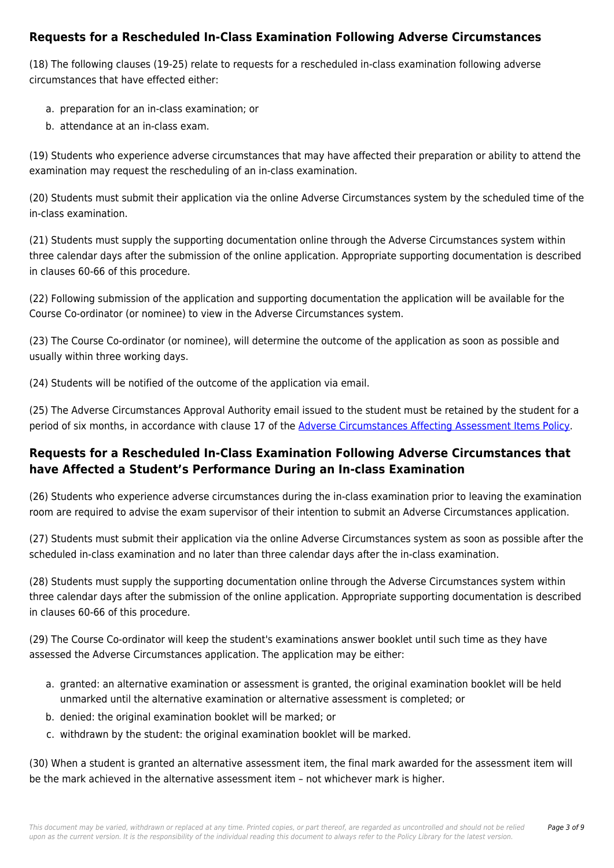### **Requests for a Rescheduled In-Class Examination Following Adverse Circumstances**

(18) The following clauses (19-25) relate to requests for a rescheduled in-class examination following adverse circumstances that have effected either:

- a. preparation for an in-class examination; or
- b. attendance at an in-class exam.

(19) Students who experience adverse circumstances that may have affected their preparation or ability to attend the examination may request the rescheduling of an in-class examination.

(20) Students must submit their application via the online Adverse Circumstances system by the scheduled time of the in-class examination.

(21) Students must supply the supporting documentation online through the Adverse Circumstances system within three calendar days after the submission of the online application. Appropriate supporting documentation is described in clauses 60-66 of this procedure.

(22) Following submission of the application and supporting documentation the application will be available for the Course Co-ordinator (or nominee) to view in the Adverse Circumstances system.

(23) The Course Co-ordinator (or nominee), will determine the outcome of the application as soon as possible and usually within three working days.

(24) Students will be notified of the outcome of the application via email.

(25) The Adverse Circumstances Approval Authority email issued to the student must be retained by the student for a period of six months, in accordance with clause 17 of the [Adverse Circumstances Affecting Assessment Items Policy.](https://policies.newcastle.edu.au/document/view-current.php?id=235)

# **Requests for a Rescheduled In-Class Examination Following Adverse Circumstances that have Affected a Student's Performance During an In-class Examination**

(26) Students who experience adverse circumstances during the in-class examination prior to leaving the examination room are required to advise the exam supervisor of their intention to submit an Adverse Circumstances application.

(27) Students must submit their application via the online Adverse Circumstances system as soon as possible after the scheduled in-class examination and no later than three calendar days after the in-class examination.

(28) Students must supply the supporting documentation online through the Adverse Circumstances system within three calendar days after the submission of the online application. Appropriate supporting documentation is described in clauses 60-66 of this procedure.

(29) The Course Co-ordinator will keep the student's examinations answer booklet until such time as they have assessed the Adverse Circumstances application. The application may be either:

- a. granted: an alternative examination or assessment is granted, the original examination booklet will be held unmarked until the alternative examination or alternative assessment is completed; or
- b. denied: the original examination booklet will be marked; or
- c. withdrawn by the student: the original examination booklet will be marked.

(30) When a student is granted an alternative assessment item, the final mark awarded for the assessment item will be the mark achieved in the alternative assessment item – not whichever mark is higher.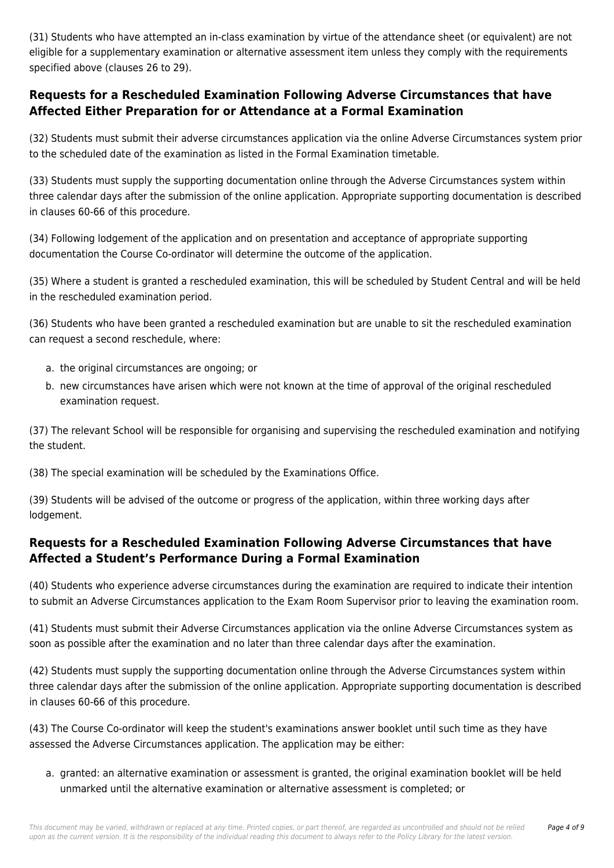(31) Students who have attempted an in-class examination by virtue of the attendance sheet (or equivalent) are not eligible for a supplementary examination or alternative assessment item unless they comply with the requirements specified above (clauses 26 to 29).

### **Requests for a Rescheduled Examination Following Adverse Circumstances that have Affected Either Preparation for or Attendance at a Formal Examination**

(32) Students must submit their adverse circumstances application via the online Adverse Circumstances system prior to the scheduled date of the examination as listed in the Formal Examination timetable.

(33) Students must supply the supporting documentation online through the Adverse Circumstances system within three calendar days after the submission of the online application. Appropriate supporting documentation is described in clauses 60-66 of this procedure.

(34) Following lodgement of the application and on presentation and acceptance of appropriate supporting documentation the Course Co-ordinator will determine the outcome of the application.

(35) Where a student is granted a rescheduled examination, this will be scheduled by Student Central and will be held in the rescheduled examination period.

(36) Students who have been granted a rescheduled examination but are unable to sit the rescheduled examination can request a second reschedule, where:

- a. the original circumstances are ongoing; or
- b. new circumstances have arisen which were not known at the time of approval of the original rescheduled examination request.

(37) The relevant School will be responsible for organising and supervising the rescheduled examination and notifying the student.

(38) The special examination will be scheduled by the Examinations Office.

(39) Students will be advised of the outcome or progress of the application, within three working days after lodgement.

## **Requests for a Rescheduled Examination Following Adverse Circumstances that have Affected a Student's Performance During a Formal Examination**

(40) Students who experience adverse circumstances during the examination are required to indicate their intention to submit an Adverse Circumstances application to the Exam Room Supervisor prior to leaving the examination room.

(41) Students must submit their Adverse Circumstances application via the online Adverse Circumstances system as soon as possible after the examination and no later than three calendar days after the examination.

(42) Students must supply the supporting documentation online through the Adverse Circumstances system within three calendar days after the submission of the online application. Appropriate supporting documentation is described in clauses 60-66 of this procedure.

(43) The Course Co-ordinator will keep the student's examinations answer booklet until such time as they have assessed the Adverse Circumstances application. The application may be either:

a. granted: an alternative examination or assessment is granted, the original examination booklet will be held unmarked until the alternative examination or alternative assessment is completed; or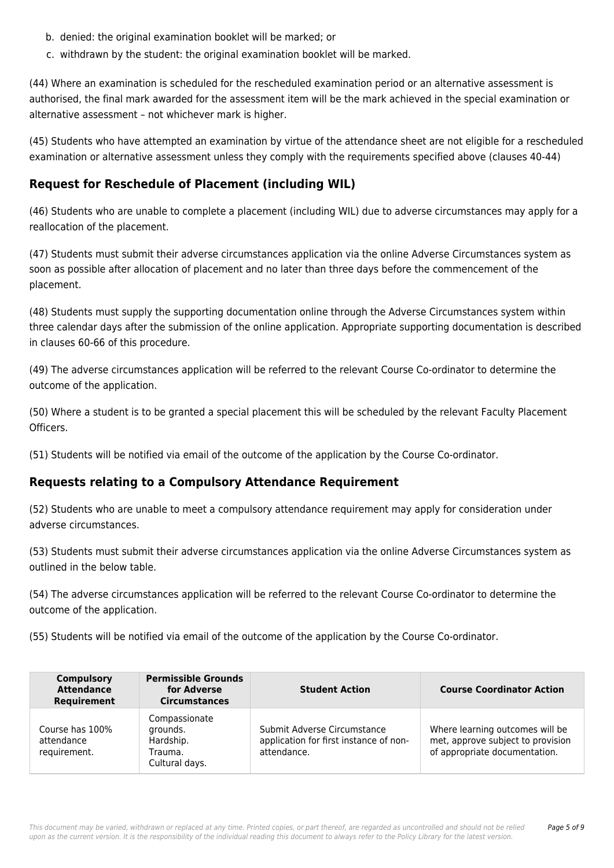- b. denied: the original examination booklet will be marked; or
- c. withdrawn by the student: the original examination booklet will be marked.

(44) Where an examination is scheduled for the rescheduled examination period or an alternative assessment is authorised, the final mark awarded for the assessment item will be the mark achieved in the special examination or alternative assessment – not whichever mark is higher.

(45) Students who have attempted an examination by virtue of the attendance sheet are not eligible for a rescheduled examination or alternative assessment unless they comply with the requirements specified above (clauses 40-44)

#### **Request for Reschedule of Placement (including WIL)**

(46) Students who are unable to complete a placement (including WIL) due to adverse circumstances may apply for a reallocation of the placement.

(47) Students must submit their adverse circumstances application via the online Adverse Circumstances system as soon as possible after allocation of placement and no later than three days before the commencement of the placement.

(48) Students must supply the supporting documentation online through the Adverse Circumstances system within three calendar days after the submission of the online application. Appropriate supporting documentation is described in clauses 60-66 of this procedure.

(49) The adverse circumstances application will be referred to the relevant Course Co-ordinator to determine the outcome of the application.

(50) Where a student is to be granted a special placement this will be scheduled by the relevant Faculty Placement Officers.

(51) Students will be notified via email of the outcome of the application by the Course Co-ordinator.

#### **Requests relating to a Compulsory Attendance Requirement**

(52) Students who are unable to meet a compulsory attendance requirement may apply for consideration under adverse circumstances.

(53) Students must submit their adverse circumstances application via the online Adverse Circumstances system as outlined in the below table.

(54) The adverse circumstances application will be referred to the relevant Course Co-ordinator to determine the outcome of the application.

(55) Students will be notified via email of the outcome of the application by the Course Co-ordinator.

| <b>Compulsory</b><br><b>Attendance</b><br>Requirement | <b>Permissible Grounds</b><br>for Adverse<br><b>Circumstances</b>   | <b>Student Action</b>                                                                | <b>Course Coordinator Action</b>                                                                      |
|-------------------------------------------------------|---------------------------------------------------------------------|--------------------------------------------------------------------------------------|-------------------------------------------------------------------------------------------------------|
| Course has 100%<br>attendance<br>requirement.         | Compassionate<br>grounds.<br>Hardship.<br>Trauma.<br>Cultural days. | Submit Adverse Circumstance<br>application for first instance of non-<br>attendance. | Where learning outcomes will be<br>met, approve subject to provision<br>of appropriate documentation. |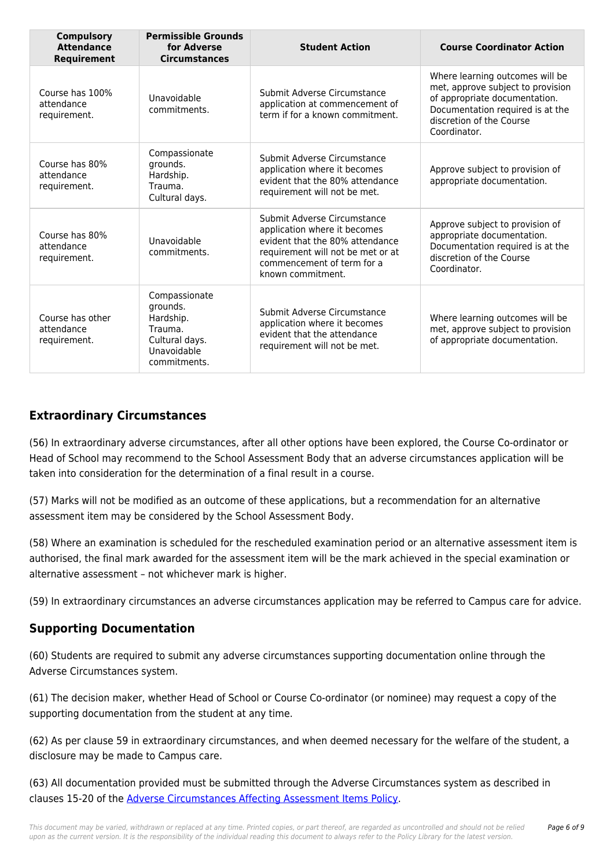| <b>Compulsory</b><br><b>Attendance</b><br>Requirement | <b>Permissible Grounds</b><br>for Adverse<br><b>Circumstances</b>                                  | <b>Student Action</b>                                                                                                                                                                  | <b>Course Coordinator Action</b>                                                                                                                                                      |
|-------------------------------------------------------|----------------------------------------------------------------------------------------------------|----------------------------------------------------------------------------------------------------------------------------------------------------------------------------------------|---------------------------------------------------------------------------------------------------------------------------------------------------------------------------------------|
| Course has 100%<br>attendance<br>requirement.         | Unavoidable<br>commitments.                                                                        | Submit Adverse Circumstance<br>application at commencement of<br>term if for a known commitment.                                                                                       | Where learning outcomes will be<br>met, approve subject to provision<br>of appropriate documentation.<br>Documentation required is at the<br>discretion of the Course<br>Coordinator. |
| Course has 80%<br>attendance<br>requirement.          | Compassionate<br>grounds.<br>Hardship.<br>Trauma.<br>Cultural days.                                | Submit Adverse Circumstance<br>application where it becomes<br>evident that the 80% attendance<br>requirement will not be met.                                                         | Approve subject to provision of<br>appropriate documentation.                                                                                                                         |
| Course has 80%<br>attendance<br>requirement.          | Unavoidable<br>commitments.                                                                        | Submit Adverse Circumstance<br>application where it becomes<br>evident that the 80% attendance<br>requirement will not be met or at<br>commencement of term for a<br>known commitment. | Approve subject to provision of<br>appropriate documentation.<br>Documentation required is at the<br>discretion of the Course<br>Coordinator.                                         |
| Course has other<br>attendance<br>requirement.        | Compassionate<br>grounds.<br>Hardship.<br>Trauma.<br>Cultural days.<br>Unavoidable<br>commitments. | Submit Adverse Circumstance<br>application where it becomes<br>evident that the attendance<br>requirement will not be met.                                                             | Where learning outcomes will be<br>met, approve subject to provision<br>of appropriate documentation.                                                                                 |

# **Extraordinary Circumstances**

(56) In extraordinary adverse circumstances, after all other options have been explored, the Course Co-ordinator or Head of School may recommend to the School Assessment Body that an adverse circumstances application will be taken into consideration for the determination of a final result in a course.

(57) Marks will not be modified as an outcome of these applications, but a recommendation for an alternative assessment item may be considered by the School Assessment Body.

(58) Where an examination is scheduled for the rescheduled examination period or an alternative assessment item is authorised, the final mark awarded for the assessment item will be the mark achieved in the special examination or alternative assessment – not whichever mark is higher.

(59) In extraordinary circumstances an adverse circumstances application may be referred to Campus care for advice.

#### **Supporting Documentation**

(60) Students are required to submit any adverse circumstances supporting documentation online through the Adverse Circumstances system.

(61) The decision maker, whether Head of School or Course Co-ordinator (or nominee) may request a copy of the supporting documentation from the student at any time.

(62) As per clause 59 in extraordinary circumstances, and when deemed necessary for the welfare of the student, a disclosure may be made to Campus care.

(63) All documentation provided must be submitted through the Adverse Circumstances system as described in clauses 15-20 of the [Adverse Circumstances Affecting Assessment Items Policy](https://policies.newcastle.edu.au/document/view-current.php?id=235).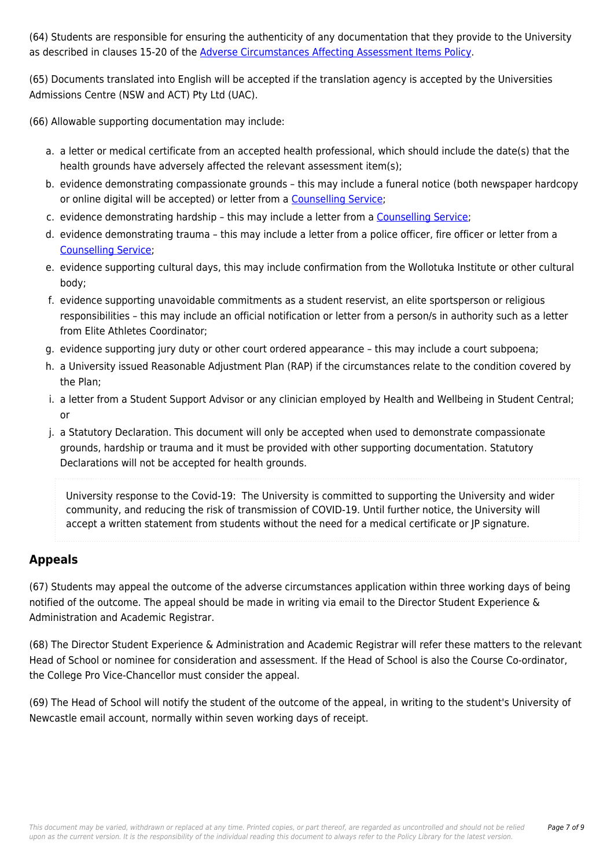(64) Students are responsible for ensuring the authenticity of any documentation that they provide to the University as described in clauses 15-20 of the [Adverse Circumstances Affecting Assessment Items Policy](https://policies.newcastle.edu.au/document/view-current.php?id=235).

(65) Documents translated into English will be accepted if the translation agency is accepted by the Universities Admissions Centre (NSW and ACT) Pty Ltd (UAC).

(66) Allowable supporting documentation may include:

- a. a letter or medical certificate from an accepted health professional, which should include the date(s) that the health grounds have adversely affected the relevant assessment item(s);
- b. evidence demonstrating compassionate grounds this may include a funeral notice (both newspaper hardcopy or online digital will be accepted) or letter from a [Counselling Service](https://policies.newcastle.edu.au/download.php?id=121&version=1&associated);
- c. evidence demonstrating hardship this may include a letter from a [Counselling Service;](https://policies.newcastle.edu.au/download.php?id=121&version=1&associated)
- d. evidence demonstrating trauma this may include a letter from a police officer, fire officer or letter from a [Counselling Service;](https://policies.newcastle.edu.au/download.php?id=121&version=1&associated)
- e. evidence supporting cultural days, this may include confirmation from the Wollotuka Institute or other cultural body;
- f. evidence supporting unavoidable commitments as a student reservist, an elite sportsperson or religious responsibilities – this may include an official notification or letter from a person/s in authority such as a letter from Elite Athletes Coordinator;
- g. evidence supporting jury duty or other court ordered appearance this may include a court subpoena;
- h. a University issued Reasonable Adjustment Plan (RAP) if the circumstances relate to the condition covered by the Plan;
- i. a letter from a Student Support Advisor or any clinician employed by Health and Wellbeing in Student Central; or
- j. a Statutory Declaration. This document will only be accepted when used to demonstrate compassionate grounds, hardship or trauma and it must be provided with other supporting documentation. Statutory Declarations will not be accepted for health grounds.

University response to the Covid-19: The University is committed to supporting the University and wider community, and reducing the risk of transmission of COVID-19. Until further notice, the University will accept a written statement from students without the need for a medical certificate or JP signature.

# **Appeals**

(67) Students may appeal the outcome of the adverse circumstances application within three working days of being notified of the outcome. The appeal should be made in writing via email to the Director Student Experience & Administration and Academic Registrar.

(68) The Director Student Experience & Administration and Academic Registrar will refer these matters to the relevant Head of School or nominee for consideration and assessment. If the Head of School is also the Course Co-ordinator, the College Pro Vice-Chancellor must consider the appeal.

(69) The Head of School will notify the student of the outcome of the appeal, in writing to the student's University of Newcastle email account, normally within seven working days of receipt.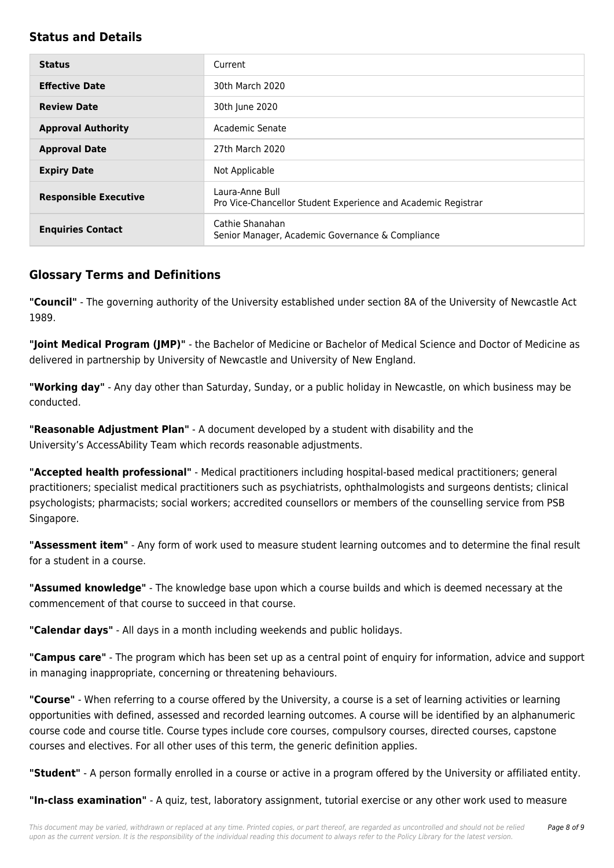#### **Status and Details**

| <b>Status</b>                | Current                                                                          |  |
|------------------------------|----------------------------------------------------------------------------------|--|
|                              |                                                                                  |  |
| <b>Effective Date</b>        | 30th March 2020                                                                  |  |
| <b>Review Date</b>           | 30th June 2020                                                                   |  |
| <b>Approval Authority</b>    | Academic Senate                                                                  |  |
| <b>Approval Date</b>         | 27th March 2020                                                                  |  |
| <b>Expiry Date</b>           | Not Applicable                                                                   |  |
| <b>Responsible Executive</b> | Laura-Anne Bull<br>Pro Vice-Chancellor Student Experience and Academic Registrar |  |
| <b>Enquiries Contact</b>     | Cathie Shanahan<br>Senior Manager, Academic Governance & Compliance              |  |

## **Glossary Terms and Definitions**

**"Council"** - The governing authority of the University established under section 8A of the University of Newcastle Act 1989.

**"Joint Medical Program (JMP)"** - the Bachelor of Medicine or Bachelor of Medical Science and Doctor of Medicine as delivered in partnership by University of Newcastle and University of New England.

**"Working day"** - Any day other than Saturday, Sunday, or a public holiday in Newcastle, on which business may be conducted.

**"Reasonable Adjustment Plan"** - A document developed by a student with disability and the University's AccessAbility Team which records reasonable adjustments.

**"Accepted health professional"** - Medical practitioners including hospital-based medical practitioners; general practitioners; specialist medical practitioners such as psychiatrists, ophthalmologists and surgeons dentists; clinical psychologists; pharmacists; social workers; accredited counsellors or members of the counselling service from PSB Singapore.

**"Assessment item"** - Any form of work used to measure student learning outcomes and to determine the final result for a student in a course.

**"Assumed knowledge"** - The knowledge base upon which a course builds and which is deemed necessary at the commencement of that course to succeed in that course.

**"Calendar days"** - All days in a month including weekends and public holidays.

**"Campus care"** - The program which has been set up as a central point of enquiry for information, advice and support in managing inappropriate, concerning or threatening behaviours.

**"Course"** - When referring to a course offered by the University, a course is a set of learning activities or learning opportunities with defined, assessed and recorded learning outcomes. A course will be identified by an alphanumeric course code and course title. Course types include core courses, compulsory courses, directed courses, capstone courses and electives. For all other uses of this term, the generic definition applies.

**"Student"** - A person formally enrolled in a course or active in a program offered by the University or affiliated entity.

**"In-class examination"** - A quiz, test, laboratory assignment, tutorial exercise or any other work used to measure